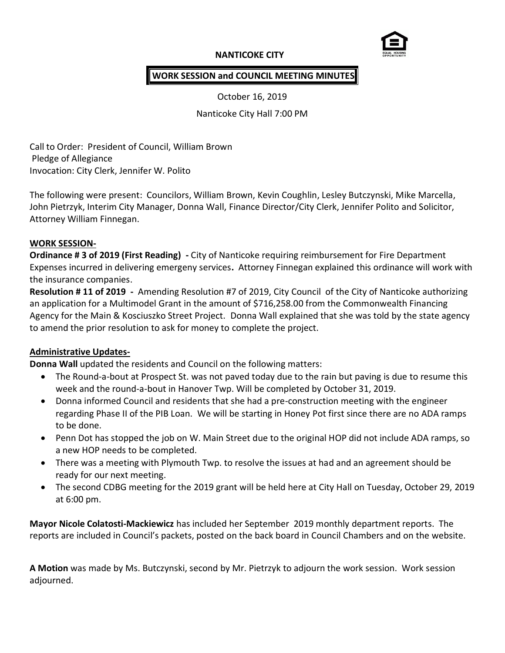## **NANTICOKE CITY**



## **WORK SESSION and COUNCIL MEETING MINUTES**

October 16, 2019

Nanticoke City Hall 7:00 PM

Call to Order: President of Council, William Brown Pledge of Allegiance Invocation: City Clerk, Jennifer W. Polito

The following were present: Councilors, William Brown, Kevin Coughlin, Lesley Butczynski, Mike Marcella, John Pietrzyk, Interim City Manager, Donna Wall, Finance Director/City Clerk, Jennifer Polito and Solicitor, Attorney William Finnegan.

#### **WORK SESSION-**

**Ordinance # 3 of 2019 (First Reading) -** City of Nanticoke requiring reimbursement for Fire Department Expenses incurred in delivering emergeny services**.** Attorney Finnegan explained this ordinance will work with the insurance companies.

**Resolution # 11 of 2019 -** Amending Resolution #7 of 2019, City Council of the City of Nanticoke authorizing an application for a Multimodel Grant in the amount of \$716,258.00 from the Commonwealth Financing Agency for the Main & Kosciuszko Street Project. Donna Wall explained that she was told by the state agency to amend the prior resolution to ask for money to complete the project.

## **Administrative Updates-**

**Donna Wall** updated the residents and Council on the following matters:

- The Round-a-bout at Prospect St. was not paved today due to the rain but paving is due to resume this week and the round-a-bout in Hanover Twp. Will be completed by October 31, 2019.
- Donna informed Council and residents that she had a pre-construction meeting with the engineer regarding Phase II of the PIB Loan. We will be starting in Honey Pot first since there are no ADA ramps to be done.
- Penn Dot has stopped the job on W. Main Street due to the original HOP did not include ADA ramps, so a new HOP needs to be completed.
- There was a meeting with Plymouth Twp. to resolve the issues at had and an agreement should be ready for our next meeting.
- The second CDBG meeting for the 2019 grant will be held here at City Hall on Tuesday, October 29, 2019 at 6:00 pm.

**Mayor Nicole Colatosti-Mackiewicz** has included her September 2019 monthly department reports. The reports are included in Council's packets, posted on the back board in Council Chambers and on the website.

**A Motion** was made by Ms. Butczynski, second by Mr. Pietrzyk to adjourn the work session. Work session adjourned.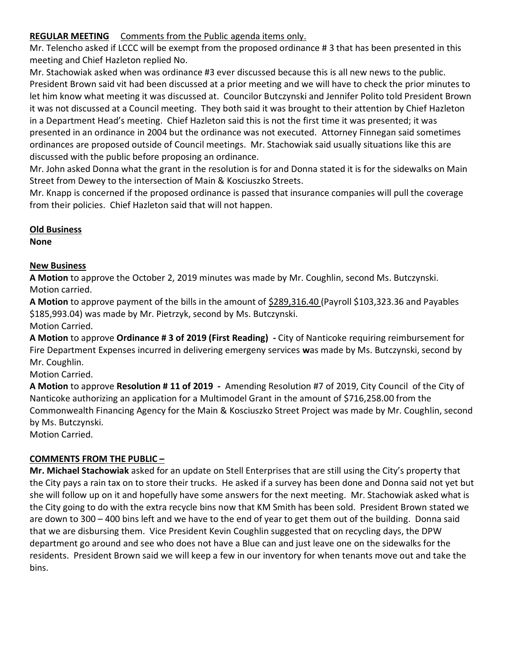## **REGULAR MEETING** Comments from the Public agenda items only.

Mr. Telencho asked if LCCC will be exempt from the proposed ordinance # 3 that has been presented in this meeting and Chief Hazleton replied No.

Mr. Stachowiak asked when was ordinance #3 ever discussed because this is all new news to the public. President Brown said vit had been discussed at a prior meeting and we will have to check the prior minutes to let him know what meeting it was discussed at. Councilor Butczynski and Jennifer Polito told President Brown it was not discussed at a Council meeting. They both said it was brought to their attention by Chief Hazleton in a Department Head's meeting. Chief Hazleton said this is not the first time it was presented; it was presented in an ordinance in 2004 but the ordinance was not executed. Attorney Finnegan said sometimes ordinances are proposed outside of Council meetings. Mr. Stachowiak said usually situations like this are discussed with the public before proposing an ordinance.

Mr. John asked Donna what the grant in the resolution is for and Donna stated it is for the sidewalks on Main Street from Dewey to the intersection of Main & Kosciuszko Streets.

Mr. Knapp is concerned if the proposed ordinance is passed that insurance companies will pull the coverage from their policies. Chief Hazleton said that will not happen.

# **Old Business**

**None**

# **New Business**

**A Motion** to approve the October 2, 2019 minutes was made by Mr. Coughlin, second Ms. Butczynski. Motion carried.

**A Motion** to approve payment of the bills in the amount of \$289,316.40 (Payroll \$103,323.36 and Payables \$185,993.04) was made by Mr. Pietrzyk, second by Ms. Butczynski. Motion Carried.

**A Motion** to approve **Ordinance # 3 of 2019 (First Reading) -** City of Nanticoke requiring reimbursement for Fire Department Expenses incurred in delivering emergeny services **w**as made by Ms. Butczynski, second by Mr. Coughlin.

Motion Carried.

**A Motion** to approve **Resolution # 11 of 2019 -** Amending Resolution #7 of 2019, City Council of the City of Nanticoke authorizing an application for a Multimodel Grant in the amount of \$716,258.00 from the Commonwealth Financing Agency for the Main & Kosciuszko Street Project was made by Mr. Coughlin, second by Ms. Butczynski.

Motion Carried.

# **COMMENTS FROM THE PUBLIC –**

**Mr. Michael Stachowiak** asked for an update on Stell Enterprises that are still using the City's property that the City pays a rain tax on to store their trucks. He asked if a survey has been done and Donna said not yet but she will follow up on it and hopefully have some answers for the next meeting. Mr. Stachowiak asked what is the City going to do with the extra recycle bins now that KM Smith has been sold. President Brown stated we are down to 300 – 400 bins left and we have to the end of year to get them out of the building. Donna said that we are disbursing them. Vice President Kevin Coughlin suggested that on recycling days, the DPW department go around and see who does not have a Blue can and just leave one on the sidewalks for the residents. President Brown said we will keep a few in our inventory for when tenants move out and take the bins.